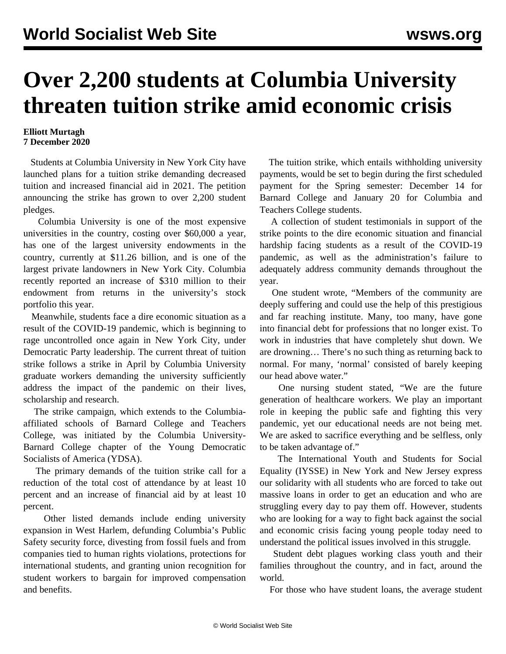## **Over 2,200 students at Columbia University threaten tuition strike amid economic crisis**

## **Elliott Murtagh 7 December 2020**

 Students at Columbia University in New York City have launched plans for a tuition strike demanding decreased tuition and increased financial aid in 2021. The [petition](https://docs.google.com/forms/d/e/1FAIpQLSfClW_Qre0b4iULsk-DeKpAWFmZFZptJJRpR8cn0bLPa8HP2w/viewform) announcing the strike has grown to over 2,200 student pledges.

 Columbia University is one of the most expensive universities in the country, costing over \$60,000 a year, has one of the largest university endowments in the country, currently at \$11.26 billion, and is one of the largest private landowners in New York City. Columbia recently [reported](https://www.columbiaspectator.com/news/2020/10/22/columbia-reports-310-million-increase-in-endowment-during-pandemic-while-smaller-schools-flounder/) an increase of \$310 million to their endowment from returns in the university's stock portfolio this year.

 Meanwhile, students face a dire economic situation as a result of the COVID-19 pandemic, which is beginning to rage uncontrolled once again in New York City, under Democratic Party leadership. The current threat of tuition strike follows a [strike in April by Columbia University](/en/articles/2020/04/27/colu-a27.html) [graduate workers](/en/articles/2020/04/27/colu-a27.html) demanding the university sufficiently address the impact of the pandemic on their lives, scholarship and research.

 The strike campaign, which extends to the Columbiaaffiliated schools of Barnard College and Teachers College, was initiated by the Columbia University-Barnard College chapter of the Young Democratic Socialists of America (YDSA).

 The primary demands of the tuition strike call for a reduction of the total cost of attendance by at least 10 percent and an increase of financial aid by at least 10 percent.

 Other listed demands include ending university expansion in West Harlem, defunding Columbia's Public Safety security force, divesting from fossil fuels and from companies tied to human rights violations, protections for international students, and granting union recognition for student workers to bargain for improved compensation and benefits.

 The tuition strike, which entails withholding university payments, would be set to begin during the first scheduled payment for the Spring semester: December 14 for Barnard College and January 20 for Columbia and Teachers College students.

 A collection of student [testimonials](https://docs.google.com/spreadsheets/d/1HTxDFBZm_3sgVJoL2LavuBRX-aQ6Os-rgKgj8k6pSGI) in support of the strike points to the dire economic situation and financial hardship facing students as a result of the COVID-19 pandemic, as well as the administration's failure to adequately address community demands throughout the year.

 One student wrote, "Members of the community are deeply suffering and could use the help of this prestigious and far reaching institute. Many, too many, have gone into financial debt for professions that no longer exist. To work in industries that have completely shut down. We are drowning… There's no such thing as returning back to normal. For many, 'normal' consisted of barely keeping our head above water."

 One nursing student stated, "We are the future generation of healthcare workers. We play an important role in keeping the public safe and fighting this very pandemic, yet our educational needs are not being met. We are asked to sacrifice everything and be selfless, only to be taken advantage of."

 The International Youth and Students for Social Equality (IYSSE) in New York and New Jersey express our solidarity with all students who are forced to take out massive loans in order to get an education and who are struggling every day to pay them off. However, students who are looking for a way to fight back against the social and economic crisis facing young people today need to understand the political issues involved in this struggle.

 Student debt plagues working class youth and their families throughout the country, and in fact, around the world.

For those who have student loans, the average student